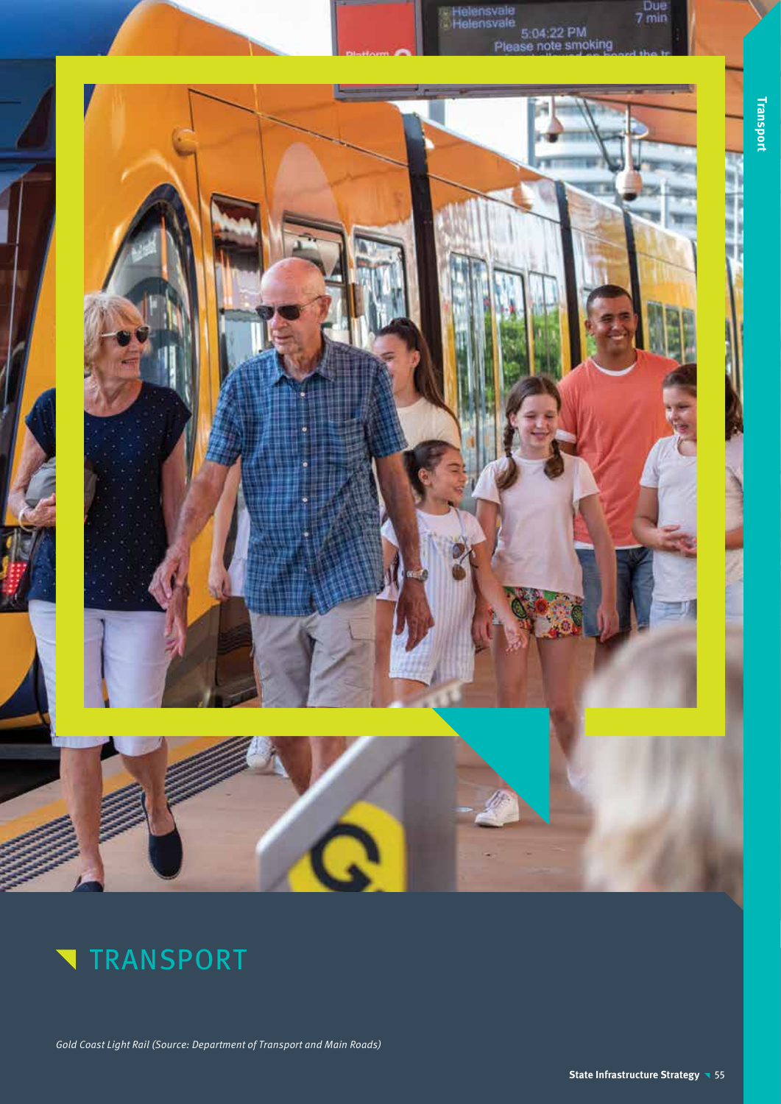



Gold Coast Light Rail (Source: Department of Transport and Main Roads)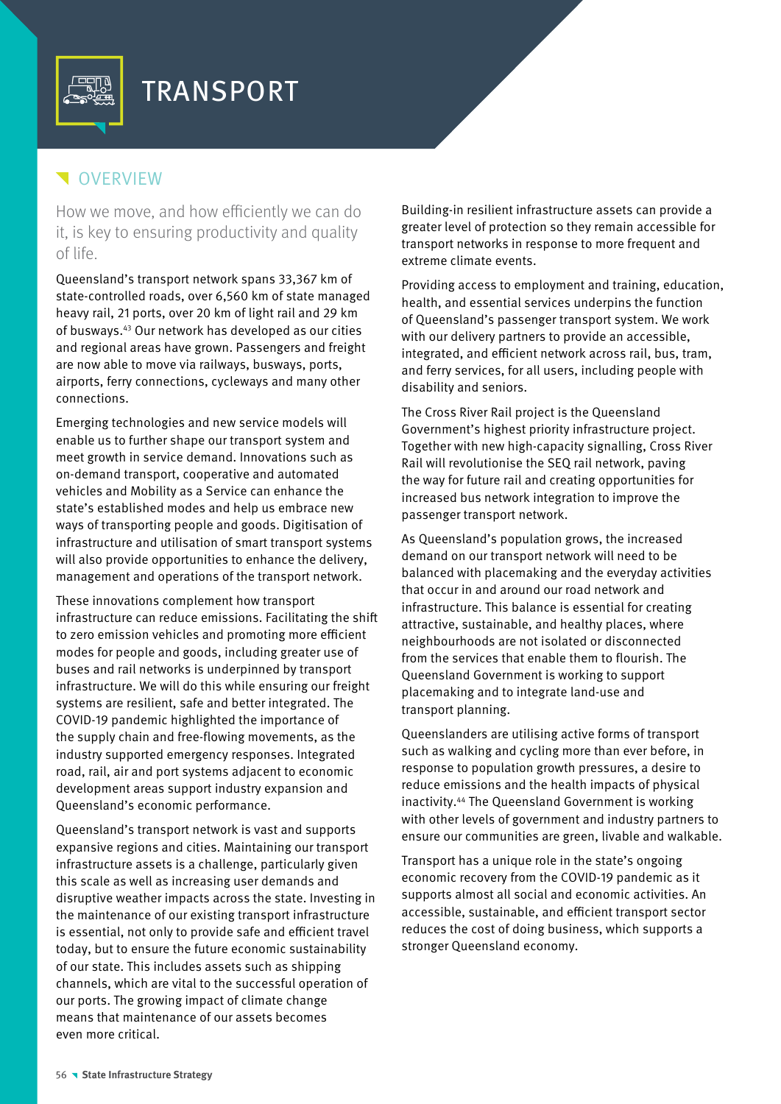

# **VERVIEW**

How we move, and how efficiently we can do it, is key to ensuring productivity and quality of life.

Queensland's transport network spans 33,367 km of state-controlled roads, over 6,560 km of state managed heavy rail, 21 ports, over 20 km of light rail and 29 km of busways.43 Our network has developed as our cities and regional areas have grown. Passengers and freight are now able to move via railways, busways, ports, airports, ferry connections, cycleways and many other connections.

Emerging technologies and new service models will enable us to further shape our transport system and meet growth in service demand. Innovations such as on-demand transport, cooperative and automated vehicles and Mobility as a Service can enhance the state's established modes and help us embrace new ways of transporting people and goods. Digitisation of infrastructure and utilisation of smart transport systems will also provide opportunities to enhance the delivery, management and operations of the transport network.

These innovations complement how transport infrastructure can reduce emissions. Facilitating the shift to zero emission vehicles and promoting more efficient modes for people and goods, including greater use of buses and rail networks is underpinned by transport infrastructure. We will do this while ensuring our freight systems are resilient, safe and better integrated. The COVID-19 pandemic highlighted the importance of the supply chain and free-flowing movements, as the industry supported emergency responses. Integrated road, rail, air and port systems adjacent to economic development areas support industry expansion and Queensland's economic performance.

Queensland's transport network is vast and supports expansive regions and cities. Maintaining our transport infrastructure assets is a challenge, particularly given this scale as well as increasing user demands and disruptive weather impacts across the state. Investing in the maintenance of our existing transport infrastructure is essential, not only to provide safe and efficient travel today, but to ensure the future economic sustainability of our state. This includes assets such as shipping channels, which are vital to the successful operation of our ports. The growing impact of climate change means that maintenance of our assets becomes even more critical.

Building-in resilient infrastructure assets can provide a greater level of protection so they remain accessible for transport networks in response to more frequent and extreme climate events.

Providing access to employment and training, education, health, and essential services underpins the function of Queensland's passenger transport system. We work with our delivery partners to provide an accessible, integrated, and efficient network across rail, bus, tram, and ferry services, for all users, including people with disability and seniors.

The Cross River Rail project is the Queensland Government's highest priority infrastructure project. Together with new high-capacity signalling, Cross River Rail will revolutionise the SEQ rail network, paving the way for future rail and creating opportunities for increased bus network integration to improve the passenger transport network.

As Queensland's population grows, the increased demand on our transport network will need to be balanced with placemaking and the everyday activities that occur in and around our road network and infrastructure. This balance is essential for creating attractive, sustainable, and healthy places, where neighbourhoods are not isolated or disconnected from the services that enable them to flourish. The Queensland Government is working to support placemaking and to integrate land-use and transport planning.

Queenslanders are utilising active forms of transport such as walking and cycling more than ever before, in response to population growth pressures, a desire to reduce emissions and the health impacts of physical inactivity.44 The Queensland Government is working with other levels of government and industry partners to ensure our communities are green, livable and walkable.

Transport has a unique role in the state's ongoing economic recovery from the COVID-19 pandemic as it supports almost all social and economic activities. An accessible, sustainable, and efficient transport sector reduces the cost of doing business, which supports a stronger Queensland economy.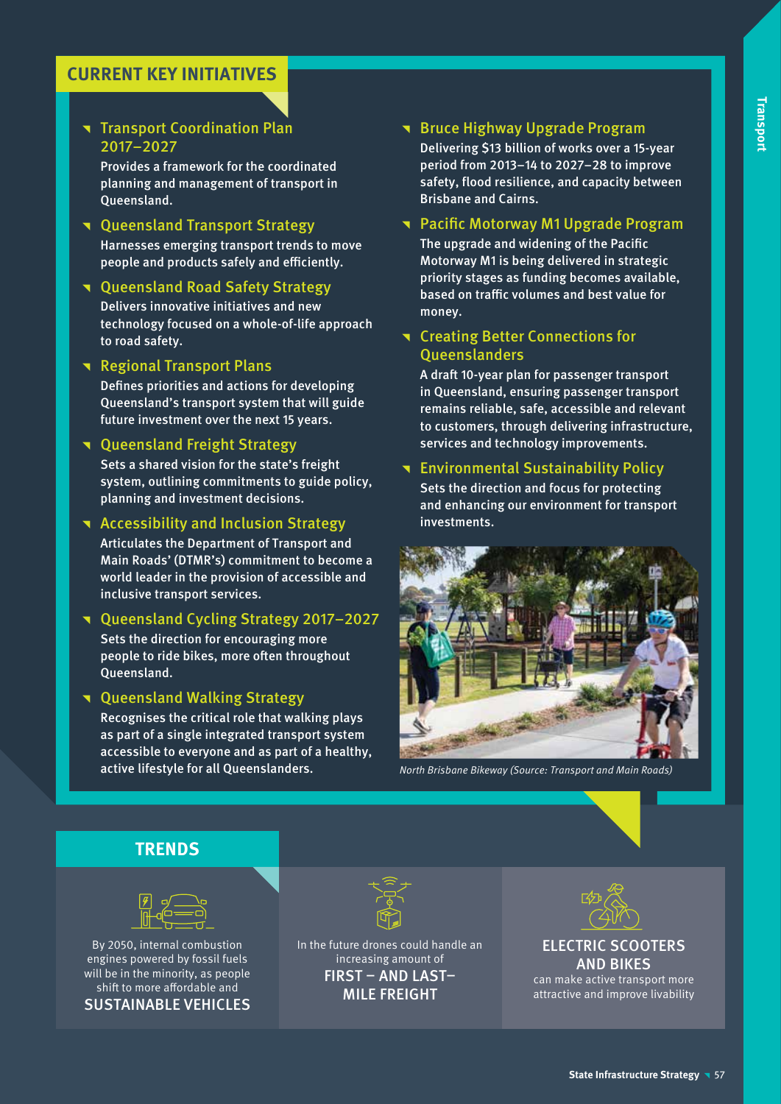# **CURRENT KEY INITIATIVES**

# **Transport Coordination Plan** 2017–2027

Provides a framework for the coordinated planning and management of transport in Queensland.

**T** Queensland Transport Strategy Harnesses emerging transport trends to move people and products safely and efficiently.

## **T** Oueensland Road Safety Strategy

Delivers innovative initiatives and new technology focused on a whole-of-life approach to road safety.

**Regional Transport Plans** 

Defines priorities and actions for developing Queensland's transport system that will guide future investment over the next 15 years.

## **T** Queensland Freight Strategy

Sets a shared vision for the state's freight system, outlining commitments to guide policy, planning and investment decisions.

**T** Accessibility and Inclusion Strategy

Articulates the Department of Transport and Main Roads' (DTMR's) commitment to become a world leader in the provision of accessible and inclusive transport services.

^ Queensland Cycling Strategy 2017–2027 Sets the direction for encouraging more people to ride bikes, more often throughout Queensland.

**T** Queensland Walking Strategy Recognises the critical role that walking plays as part of a single integrated transport system accessible to everyone and as part of a healthy, active lifestyle for all Queenslanders.

# **The Bruce Highway Upgrade Program**

Delivering \$13 billion of works over a 15-year period from 2013–14 to 2027–28 to improve safety, flood resilience, and capacity between Brisbane and Cairns.

# **T** Pacific Motorway M1 Upgrade Program

The upgrade and widening of the Pacific Motorway M1 is being delivered in strategic priority stages as funding becomes available, based on traffic volumes and best value for money.

# **T** Creating Better Connections for **Oueenslanders**

A draft 10-year plan for passenger transport in Queensland, ensuring passenger transport remains reliable, safe, accessible and relevant to customers, through delivering infrastructure, services and technology improvements.

## **T** Environmental Sustainability Policy Sets the direction and focus for protecting

and enhancing our environment for transport investments.



North Brisbane Bikeway (Source: Transport and Main Roads)

# **TRENDS**



By 2050, internal combustion engines powered by fossil fuels will be in the minority, as people shift to more affordable and SUSTAINABLE VEHICLES



In the future drones could handle an increasing amount of FIRST – AND LAST– MILE FREIGHT



ELECTRIC SCOOTERS AND BIKES

can make active transport more attractive and improve livability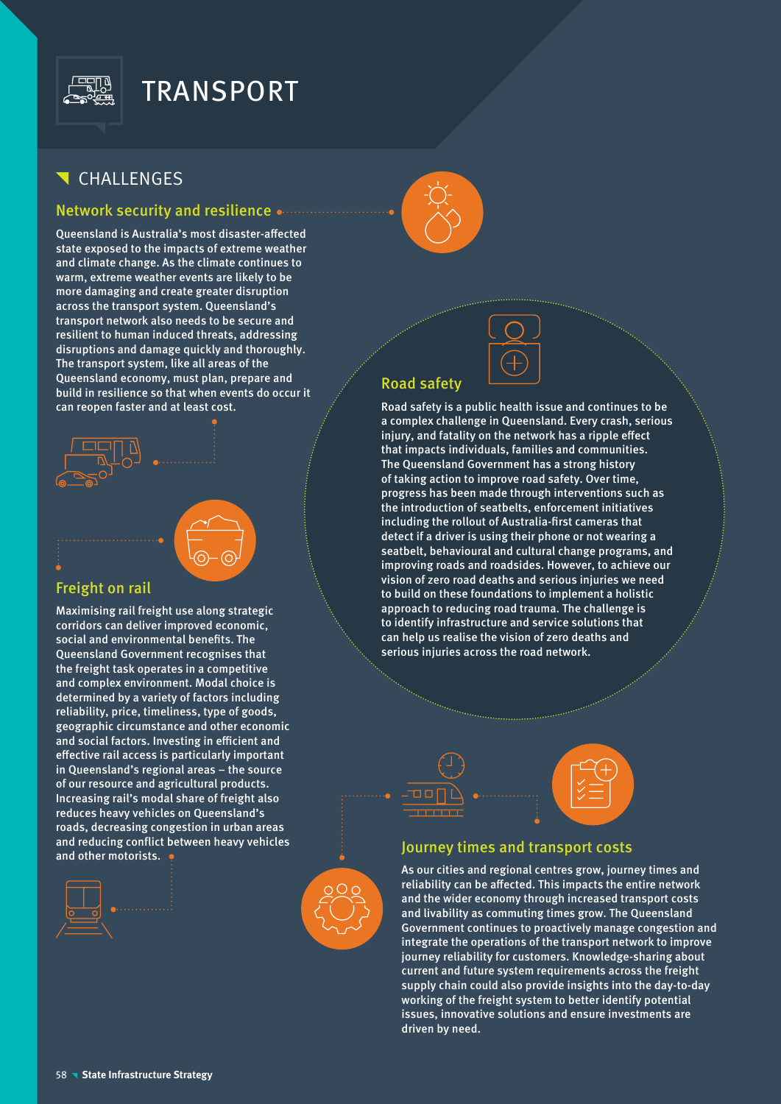

# TRANSPORT

# CHALLENGES

## Network security and resilience

Queensland is Australia's most disaster-affected state exposed to the impacts of extreme weather and climate change. As the climate continues to warm, extreme weather events are likely to be more damaging and create greater disruption across the transport system. Queensland's transport network also needs to be secure and resilient to human induced threats, addressing disruptions and damage quickly and thoroughly. The transport system, like all areas of the Queensland economy, must plan, prepare and build in resilience so that when events do occur it can reopen faster and at least cost.



### Freight on rail

Maximising rail freight use along strategic corridors can deliver improved economic, social and environmental benefits. The Queensland Government recognises that the freight task operates in a competitive and complex environment. Modal choice is determined by a variety of factors including reliability, price, timeliness, type of goods, geographic circumstance and other economic and social factors. Investing in efficient and effective rail access is particularly important in Queensland's regional areas – the source of our resource and agricultural products. Increasing rail's modal share of freight also reduces heavy vehicles on Queensland's roads, decreasing congestion in urban areas and reducing conflict between heavy vehicles and reducing conflict between heavy vehicles<br>and other motorists.  $\bullet$  Journey times and transport costs







# Road safety

Road safety is a public health issue and continues to be a complex challenge in Queensland. Every crash, serious injury, and fatality on the network has a ripple effect that impacts individuals, families and communities. The Queensland Government has a strong history of taking action to improve road safety. Over time, progress has been made through interventions such as the introduction of seatbelts, enforcement initiatives including the rollout of Australia-first cameras that detect if a driver is using their phone or not wearing a seatbelt, behavioural and cultural change programs, and improving roads and roadsides. However, to achieve our vision of zero road deaths and serious injuries we need to build on these foundations to implement a holistic approach to reducing road trauma. The challenge is to identify infrastructure and service solutions that can help us realise the vision of zero deaths and serious injuries across the road network.





As our cities and regional centres grow, journey times and reliability can be affected. This impacts the entire network and the wider economy through increased transport costs and livability as commuting times grow. The Queensland Government continues to proactively manage congestion and integrate the operations of the transport network to improve journey reliability for customers. Knowledge-sharing about current and future system requirements across the freight supply chain could also provide insights into the day-to-day working of the freight system to better identify potential issues, innovative solutions and ensure investments are driven by need.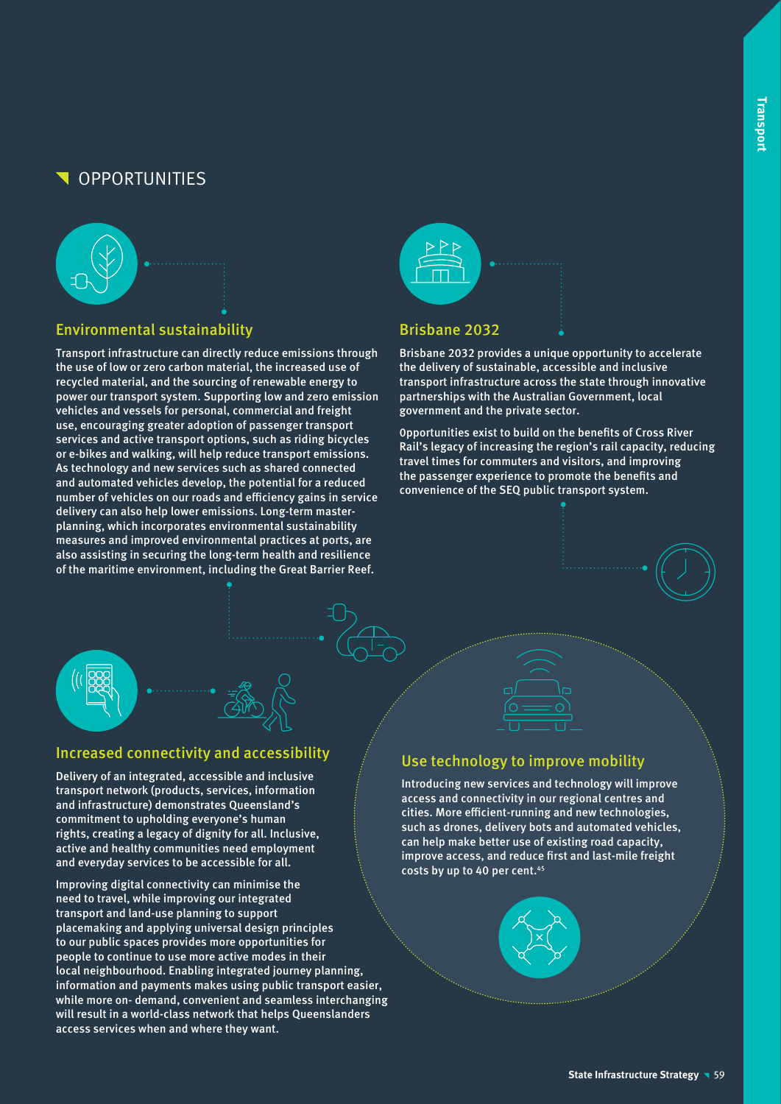# **OPPORTUNITIES**



# Environmental sustainability

Transport infrastructure can directly reduce emissions through the use of low or zero carbon material, the increased use of recycled material, and the sourcing of renewable energy to power our transport system. Supporting low and zero emission vehicles and vessels for personal, commercial and freight use, encouraging greater adoption of passenger transport services and active transport options, such as riding bicycles or e-bikes and walking, will help reduce transport emissions. As technology and new services such as shared connected and automated vehicles develop, the potential for a reduced number of vehicles on our roads and efficiency gains in service delivery can also help lower emissions. Long-term masterplanning, which incorporates environmental sustainability measures and improved environmental practices at ports, are also assisting in securing the long-term health and resilience of the maritime environment, including the Great Barrier Reef.



## Brisbane 2032

Brisbane 2032 provides a unique opportunity to accelerate the delivery of sustainable, accessible and inclusive transport infrastructure across the state through innovative partnerships with the Australian Government, local government and the private sector.

0pportunities exist to build on the benefits of Cross River Rail's legacy of increasing the region's rail capacity, reducing travel times for commuters and visitors, and improving the passenger experience to promote the benefits and convenience of the SEQ public transport system.



# Increased connectivity and accessibility

Delivery of an integrated, accessible and inclusive transport network (products, services, information and infrastructure) demonstrates Queensland's commitment to upholding everyone's human rights, creating a legacy of dignity for all. Inclusive, active and healthy communities need employment and everyday services to be accessible for all.

Improving digital connectivity can minimise the need to travel, while improving our integrated transport and land-use planning to support placemaking and applying universal design principles to our public spaces provides more opportunities for people to continue to use more active modes in their local neighbourhood. Enabling integrated journey planning, information and payments makes using public transport easier, while more on- demand, convenient and seamless interchanging will result in a world-class network that helps Queenslanders access services when and where they want.

# Use technology to improve mobility

Introducing new services and technology will improve access and connectivity in our regional centres and cities. More efficient-running and new technologies, such as drones, delivery bots and automated vehicles, can help make better use of existing road capacity, improve access, and reduce first and last-mile freight costs by up to 40 per cent.<sup>45</sup>

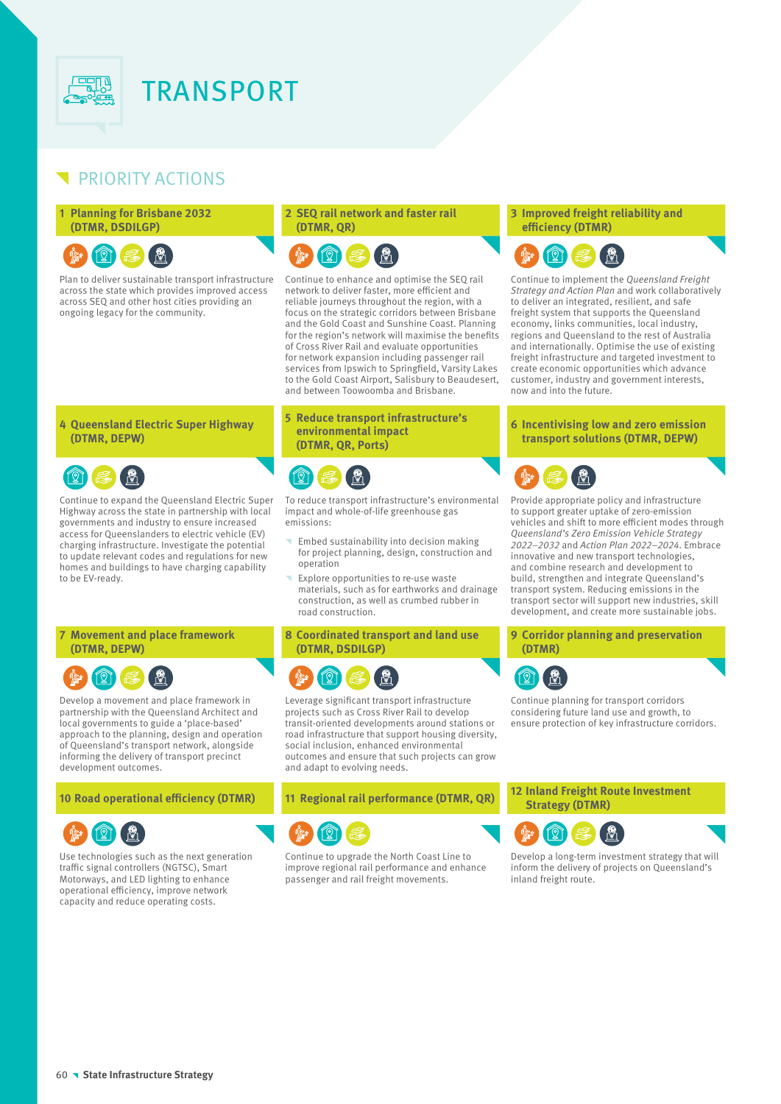

# PRIORITY ACTIONS

#### **1 Planning for Brisbane 2032 (DTMR, DSDILGP)**

#### 121 ÿ

Plan to deliver sustainable transport infrastructure across the state which provides improved access across SEQ and other host cities providing an ongoing legacy for the community.

#### **2 SEQ rail network and faster rail (DTMR, QR)**



Continue to enhance and optimise the SEQ rail network to deliver faster, more efficient and reliable journeys throughout the region, with a focus on the strategic corridors between Brisbane and the Gold Coast and Sunshine Coast. Planning for the region's network will maximise the benefits of Cross River Rail and evaluate opportunities for network expansion including passenger rail services from Ipswich to Springfield, Varsity Lakes to the Gold Coast Airport, Salisbury to Beaudesert, and between Toowoomba and Brisbane.

#### **5 Reduce transport infrastructure's environmental impact (DTMR, QR, Ports)**



To reduce transport infrastructure's environmental impact and whole-of-life greenhouse gas emissions:

- Embed sustainability into decision making for project planning, design, construction and operation
- Explore opportunities to re-use waste materials, such as for earthworks and drainage construction, as well as crumbed rubber in road construction.

**8 Coordinated transport and land use (DTMR, DSDILGP)**



Leverage significant transport infrastructure projects such as Cross River Rail to develop transit-oriented developments around stations or road infrastructure that support housing diversity, social inclusion, enhanced environmental outcomes and ensure that such projects can grow and adapt to evolving needs.



Continue to upgrade the North Coast Line to improve regional rail performance and enhance passenger and rail freight movements.

#### **3 Improved freight reliability and efficiency (DTMR)**



Continue to implement the Queensland Freight Strategy and Action Plan and work collaboratively to deliver an integrated, resilient, and safe freight system that supports the Queensland economy, links communities, local industry, regions and Queensland to the rest of Australia and internationally. Optimise the use of existing freight infrastructure and targeted investment to create economic opportunities which advance customer, industry and government interests, now and into the future.

#### **6 Incentivising low and zero emission transport solutions (DTMR, DEPW)**



Provide appropriate policy and infrastructure to support greater uptake of zero-emission vehicles and shift to more efficient modes through Queensland's Zero Emission Vehicle Strategy 2022–2032 and Action Plan 2022–2024. Embrace innovative and new transport technologies, and combine research and development to build, strengthen and integrate Queensland's transport system. Reducing emissions in the transport sector will support new industries, skill development, and create more sustainable jobs.

### **9 Corridor planning and preservation (DTMR)**



Continue planning for transport corridors considering future land use and growth, to ensure protection of key infrastructure corridors.

**<sup>10</sup> Road operational efficiency (DTMR) <sup>11</sup> Regional rail performance (DTMR, QR) <sup>12</sup> Inland Freight Route Investment Strategy (DTMR)**



Develop a long-term investment strategy that will inform the delivery of projects on Queensland's inland freight route.

#### **4 Queensland Electric Super Highway (DTMR, DEPW)**



Continue to expand the Queensland Electric Super Highway across the state in partnership with local governments and industry to ensure increased access for Queenslanders to electric vehicle (EV) charging infrastructure. Investigate the potential to update relevant codes and regulations for new homes and buildings to have charging capability to be EV-ready.

#### **7 Movement and place framework (DTMR, DEPW)**



Develop a movement and place framework in partnership with the Queensland Architect and local governments to guide a 'place-based' approach to the planning, design and operation of Queensland's transport network, alongside informing the delivery of transport precinct development outcomes.



Use technologies such as the next generation traffic signal controllers (NGTSC), Smart Motorways, and LED lighting to enhance operational efficiency, improve network capacity and reduce operating costs.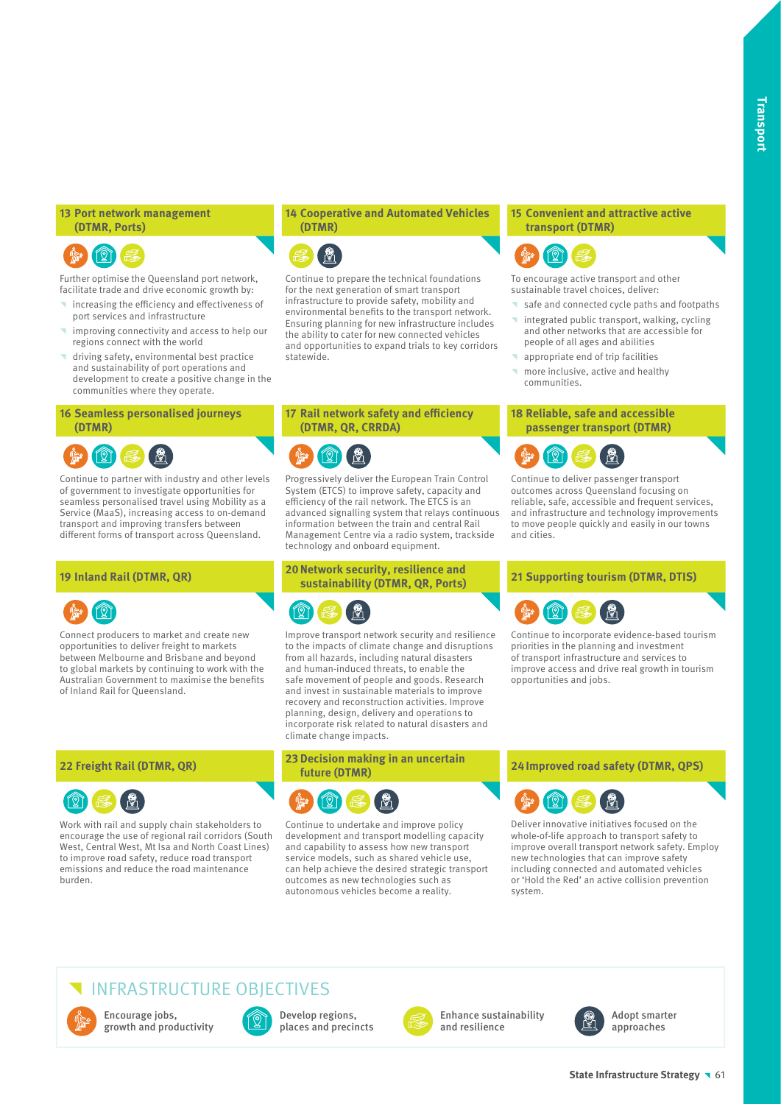#### **13 Port network management (DTMR, Ports)**

# **A**

Further optimise the Queensland port network, facilitate trade and drive economic growth by:

- increasing the efficiency and effectiveness of port services and infrastructure
- improving connectivity and access to help our regions connect with the world
- driving safety, environmental best practice and sustainability of port operations and development to create a positive change in the communities where they operate.

#### **16 Seamless personalised journeys (DTMR)**



Continue to partner with industry and other levels of government to investigate opportunities for seamless personalised travel using Mobility as a Service (MaaS), increasing access to on-demand transport and improving transfers between different forms of transport across Queensland.



Connect producers to market and create new opportunities to deliver freight to markets between Melbourne and Brisbane and beyond to global markets by continuing to work with the Australian Government to maximise the benefits of Inland Rail for Queensland.



Work with rail and supply chain stakeholders to encourage the use of regional rail corridors (South West, Central West, Mt Isa and North Coast Lines) to improve road safety, reduce road transport emissions and reduce the road maintenance burden.

#### **14 Cooperative and Automated Vehicles (DTMR)**



Continue to prepare the technical foundations for the next generation of smart transport infrastructure to provide safety, mobility and environmental benefits to the transport network. Ensuring planning for new infrastructure includes the ability to cater for new connected vehicles and opportunities to expand trials to key corridors statewide.

# **17 Rail network safety and efficiency (DTMR, QR, CRRDA)**



Progressively deliver the European Train Control System (ETCS) to improve safety, capacity and efficiency of the rail network. The ETCS is an advanced signalling system that relays continuous information between the train and central Rail Management Centre via a radio system, trackside technology and onboard equipment.

# **<sup>19</sup> Inland Rail (DTMR, QR) 20Network security, resilience and**



Improve transport network security and resilience to the impacts of climate change and disruptions from all hazards, including natural disasters and human-induced threats, to enable the safe movement of people and goods. Research and invest in sustainable materials to improve recovery and reconstruction activities. Improve planning, design, delivery and operations to incorporate risk related to natural disasters and climate change impacts.

# **22 Freight Rail (DTMR, QR) 23Decision making in an uncertain**



Continue to undertake and improve policy development and transport modelling capacity and capability to assess how new transport service models, such as shared vehicle use, can help achieve the desired strategic transport outcomes as new technologies such as autonomous vehicles become a reality.

#### **15 Convenient and attractive active transport (DTMR)**



To encourage active transport and other sustainable travel choices, deliver:

- safe and connected cycle paths and footpaths
- integrated public transport, walking, cycling and other networks that are accessible for people of all ages and abilities
- **appropriate end of trip facilities**
- **Theory** more inclusive, active and healthy communities.

#### **18 Reliable, safe and accessible passenger transport (DTMR)**



Continue to deliver passenger transport outcomes across Queensland focusing on reliable, safe, accessible and frequent services, and infrastructure and technology improvements to move people quickly and easily in our towns and cities.

### **sustainability (DTMR, QR, Ports) <sup>21</sup> Supporting tourism (DTMR, DTIS)**



Continue to incorporate evidence-based tourism priorities in the planning and investment of transport infrastructure and services to improve access and drive real growth in tourism opportunities and jobs.

**future (DTMR) 24Improved road safety (DTMR, QPS)**



Deliver innovative initiatives focused on the whole-of-life approach to transport safety to improve overall transport network safety. Employ new technologies that can improve safety including connected and automated vehicles or 'Hold the Red' an active collision prevention system.

# INFRASTRUCTURE OBJECTIVES



Encourage jobs, growth and productivity



Develop regions, places and precincts



Enhance sustainability and resilience



Adopt smarter approaches